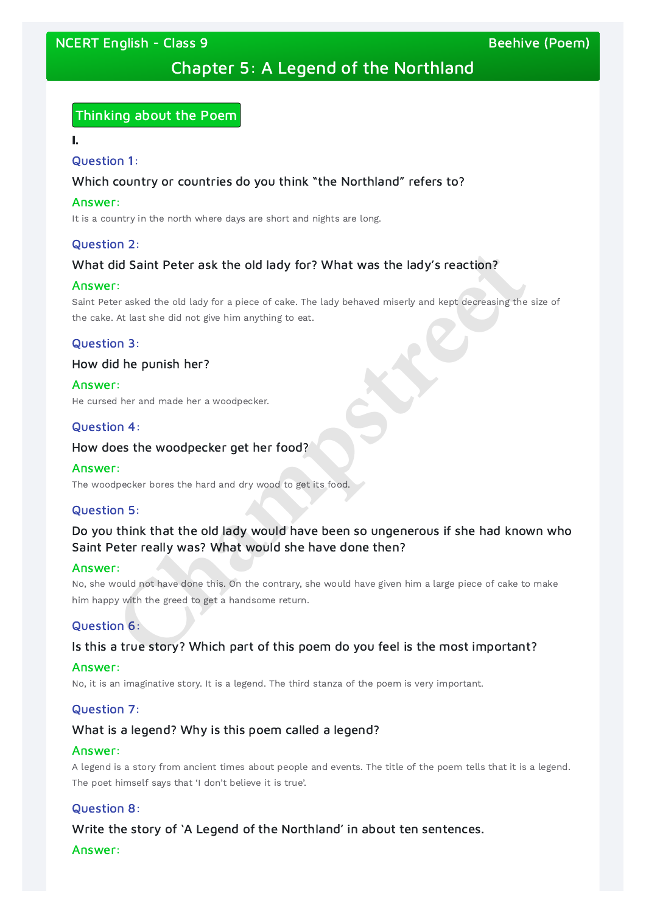# NCERT English - Class 9 Beehive (Poem)

# Chapter 5: A Legend of the Northland

# Thinking about the Poem

I.

### Question 1:

### Which country or countries do you think "the Northland" refers to?

### Answer:

It is a country in the north where days are short and nights are long.

# Question 2:

# What did Saint Peter ask the old lady for? What was the lady's reaction?

### Answer:

# Do you think that the old lady would have been so ungenerous if she had known who Saint Peter really was? What would she have done then? **Champs 1**<br> **Champs 1**<br> **Champs 1**<br> **Champs 1**<br> **Champs 1**<br> **Champs 1**<br> **Champs 1**<br> **Champs 1**<br> **Champs 1**<br> **Champs 1**<br> **Champs 1**<br> **Champs 1**<br> **Champs 1**<br> **Champs 1**<br> **Champs 1**<br> **Champs 1**<br> **Champs 1**<br> **Champs 1**<br> **Champ**

Saint Peter asked the old lady for a piece of cake. The lady behaved miserly and kept decreasing the size of the cake. At last she did not give him anything to eat.

# Question 3:

# How did he punish her?

### Answer:

He cursed her and made her a woodpecker.

# Question 4:

### How does the woodpecker get her food?

### Answer:

The woodpecker bores the hard and dry wood to get its food.

# Question 5:

### Answer:

No, she would not have done this. On the contrary, she would have given him a large piece of cake to make him happy with the greed to get a handsome return.

# Question 6:

# Is this a true story? Which part of this poem do you feel is the most important?

### Answer:

No, it is an imaginative story. It is a legend. The third stanza of the poem is very important.

### Question 7:

# What is a legend? Why is this poem called a legend?

#### Answer:

A legend is a story from ancient times about people and events. The title of the poem tells that it is a legend. The poet himself says that 'I don't believe it is true'.

### Question 8:

Write the story of 'A Legend of the Northland' in about ten sentences. Answer: